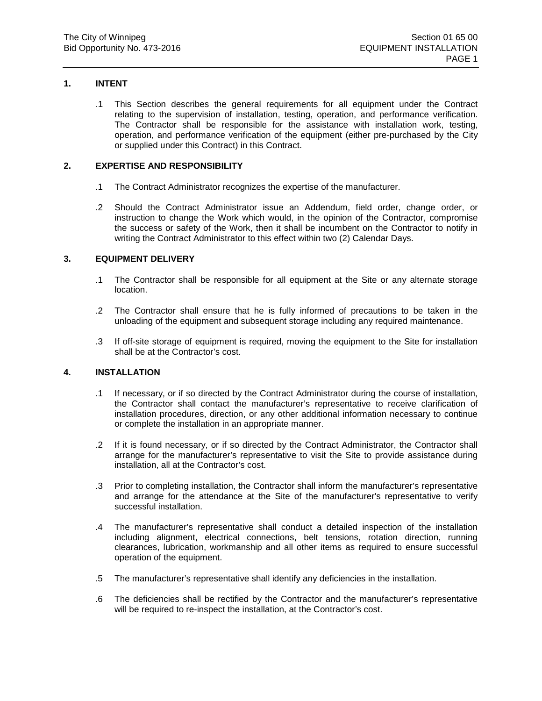## **1. INTENT**

.1 This Section describes the general requirements for all equipment under the Contract relating to the supervision of installation, testing, operation, and performance verification. The Contractor shall be responsible for the assistance with installation work, testing, operation, and performance verification of the equipment (either pre-purchased by the City or supplied under this Contract) in this Contract.

## **2. EXPERTISE AND RESPONSIBILITY**

- .1 The Contract Administrator recognizes the expertise of the manufacturer.
- .2 Should the Contract Administrator issue an Addendum, field order, change order, or instruction to change the Work which would, in the opinion of the Contractor, compromise the success or safety of the Work, then it shall be incumbent on the Contractor to notify in writing the Contract Administrator to this effect within two (2) Calendar Days.

## **3. EQUIPMENT DELIVERY**

- .1 The Contractor shall be responsible for all equipment at the Site or any alternate storage location.
- .2 The Contractor shall ensure that he is fully informed of precautions to be taken in the unloading of the equipment and subsequent storage including any required maintenance.
- .3 If off-site storage of equipment is required, moving the equipment to the Site for installation shall be at the Contractor's cost.

## **4. INSTALLATION**

- .1 If necessary, or if so directed by the Contract Administrator during the course of installation, the Contractor shall contact the manufacturer's representative to receive clarification of installation procedures, direction, or any other additional information necessary to continue or complete the installation in an appropriate manner.
- .2 If it is found necessary, or if so directed by the Contract Administrator, the Contractor shall arrange for the manufacturer's representative to visit the Site to provide assistance during installation, all at the Contractor's cost.
- .3 Prior to completing installation, the Contractor shall inform the manufacturer's representative and arrange for the attendance at the Site of the manufacturer's representative to verify successful installation.
- .4 The manufacturer's representative shall conduct a detailed inspection of the installation including alignment, electrical connections, belt tensions, rotation direction, running clearances, lubrication, workmanship and all other items as required to ensure successful operation of the equipment.
- .5 The manufacturer's representative shall identify any deficiencies in the installation.
- .6 The deficiencies shall be rectified by the Contractor and the manufacturer's representative will be required to re-inspect the installation, at the Contractor's cost.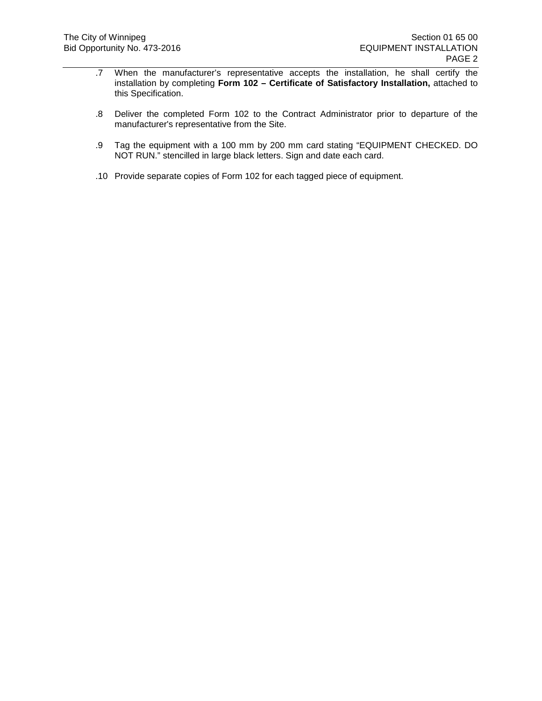- .7 When the manufacturer's representative accepts the installation, he shall certify the installation by completing **Form 102 – Certificate of Satisfactory Installation,** attached to this Specification.
- .8 Deliver the completed Form 102 to the Contract Administrator prior to departure of the manufacturer's representative from the Site.
- .9 Tag the equipment with a 100 mm by 200 mm card stating "EQUIPMENT CHECKED. DO NOT RUN." stencilled in large black letters. Sign and date each card.
- .10 Provide separate copies of Form 102 for each tagged piece of equipment.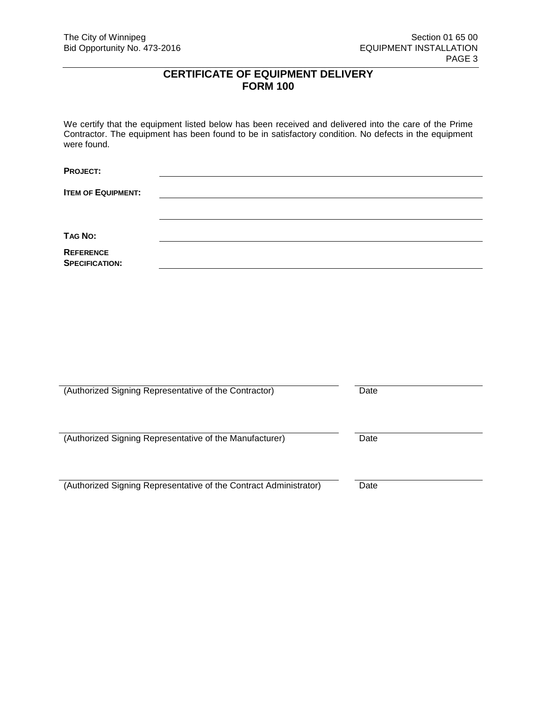# **CERTIFICATE OF EQUIPMENT DELIVERY FORM 100**

We certify that the equipment listed below has been received and delivered into the care of the Prime Contractor. The equipment has been found to be in satisfactory condition. No defects in the equipment were found.

**PROJECT:**

**ITEM OF EQUIPMENT:**

**TAG NO:**

**REFERENCE SPECIFICATION:**

| (Authorized Signing Representative of the Contractor)             | Date |
|-------------------------------------------------------------------|------|
| (Authorized Signing Representative of the Manufacturer)           | Date |
| (Authorized Signing Representative of the Contract Administrator) | Date |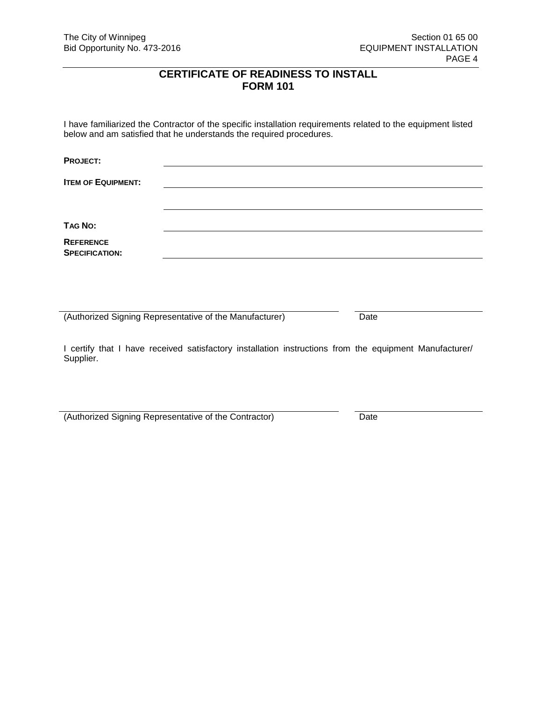# **CERTIFICATE OF READINESS TO INSTALL FORM 101**

I have familiarized the Contractor of the specific installation requirements related to the equipment listed below and am satisfied that he understands the required procedures.

**PROJECT: ITEM OF EQUIPMENT: TAG NO: REFERENCE SPECIFICATION:**

(Authorized Signing Representative of the Manufacturer) Date

I certify that I have received satisfactory installation instructions from the equipment Manufacturer/ Supplier.

(Authorized Signing Representative of the Contractor) Date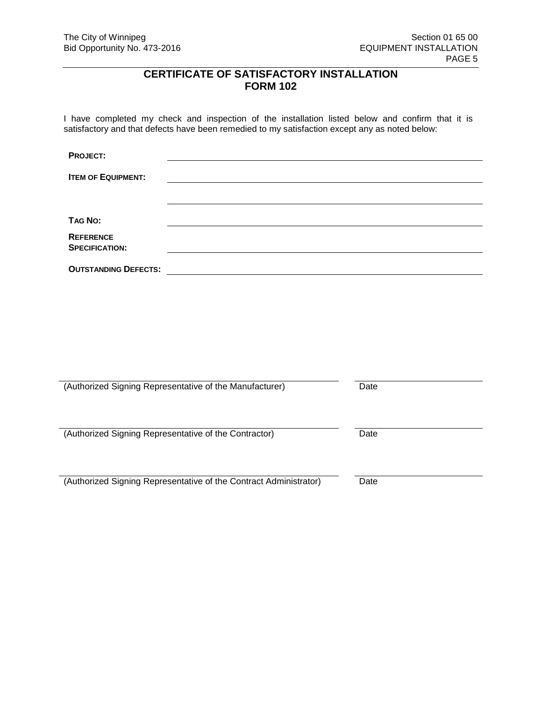# **CERTIFICATE OF SATISFACTORY INSTALLATION FORM 102**

I have completed my check and inspection of the installation listed below and confirm that it is satisfactory and that defects have been remedied to my satisfaction except any as noted below:

| <b>PROJECT:</b>                           |  |
|-------------------------------------------|--|
| <b>ITEM OF EQUIPMENT:</b>                 |  |
|                                           |  |
| TAG No:                                   |  |
| <b>REFERENCE</b><br><b>SPECIFICATION:</b> |  |
| <b>OUTSTANDING DEFECTS:</b>               |  |

| (Authorized Signing Representative of the Manufacturer)           | Date |
|-------------------------------------------------------------------|------|
| (Authorized Signing Representative of the Contractor)             | Date |
| (Authorized Signing Representative of the Contract Administrator) | Date |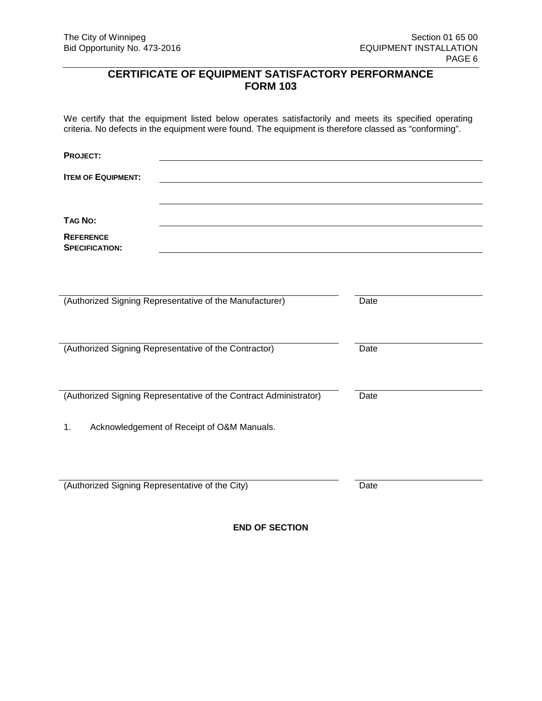# **CERTIFICATE OF EQUIPMENT SATISFACTORY PERFORMANCE FORM 103**

We certify that the equipment listed below operates satisfactorily and meets its specified operating criteria. No defects in the equipment were found. The equipment is therefore classed as "conforming".

**PROJECT: ITEM OF EQUIPMENT: TAG NO: REFERENCE SPECIFICATION:** (Authorized Signing Representative of the Manufacturer) Date (Authorized Signing Representative of the Contractor) Date (Authorized Signing Representative of the Contract Administrator) Date 1. Acknowledgement of Receipt of O&M Manuals. (Authorized Signing Representative of the City) Date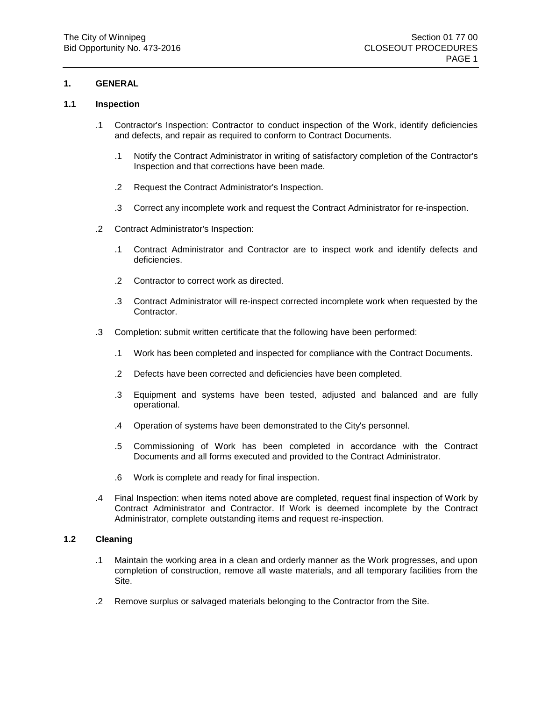## **1. GENERAL**

### **1.1 Inspection**

- .1 Contractor's Inspection: Contractor to conduct inspection of the Work, identify deficiencies and defects, and repair as required to conform to Contract Documents.
	- .1 Notify the Contract Administrator in writing of satisfactory completion of the Contractor's Inspection and that corrections have been made.
	- .2 Request the Contract Administrator's Inspection.
	- .3 Correct any incomplete work and request the Contract Administrator for re-inspection.
- .2 Contract Administrator's Inspection:
	- .1 Contract Administrator and Contractor are to inspect work and identify defects and deficiencies.
	- .2 Contractor to correct work as directed.
	- .3 Contract Administrator will re-inspect corrected incomplete work when requested by the Contractor.
- .3 Completion: submit written certificate that the following have been performed:
	- .1 Work has been completed and inspected for compliance with the Contract Documents.
	- .2 Defects have been corrected and deficiencies have been completed.
	- .3 Equipment and systems have been tested, adjusted and balanced and are fully operational.
	- .4 Operation of systems have been demonstrated to the City's personnel.
	- .5 Commissioning of Work has been completed in accordance with the Contract Documents and all forms executed and provided to the Contract Administrator.
	- .6 Work is complete and ready for final inspection.
- .4 Final Inspection: when items noted above are completed, request final inspection of Work by Contract Administrator and Contractor. If Work is deemed incomplete by the Contract Administrator, complete outstanding items and request re-inspection.

#### **1.2 Cleaning**

- .1 Maintain the working area in a clean and orderly manner as the Work progresses, and upon completion of construction, remove all waste materials, and all temporary facilities from the Site.
- .2 Remove surplus or salvaged materials belonging to the Contractor from the Site.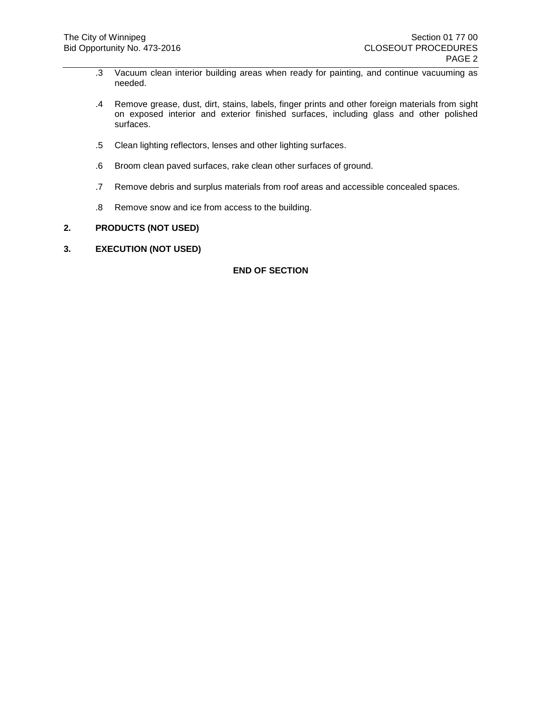- .3 Vacuum clean interior building areas when ready for painting, and continue vacuuming as needed.
- .4 Remove grease, dust, dirt, stains, labels, finger prints and other foreign materials from sight on exposed interior and exterior finished surfaces, including glass and other polished surfaces.
- .5 Clean lighting reflectors, lenses and other lighting surfaces.
- .6 Broom clean paved surfaces, rake clean other surfaces of ground.
- .7 Remove debris and surplus materials from roof areas and accessible concealed spaces.
- .8 Remove snow and ice from access to the building.

## **2. PRODUCTS (NOT USED)**

**3. EXECUTION (NOT USED)**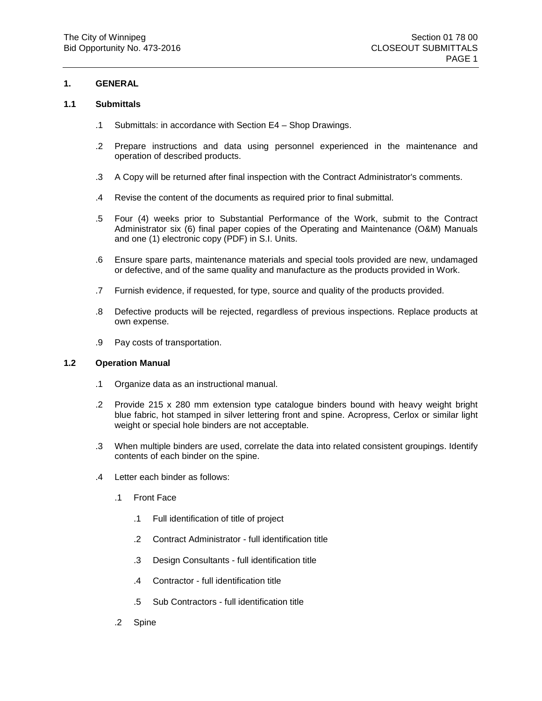## **1. GENERAL**

### **1.1 Submittals**

- .1 Submittals: in accordance with Section E4 Shop Drawings.
- .2 Prepare instructions and data using personnel experienced in the maintenance and operation of described products.
- .3 A Copy will be returned after final inspection with the Contract Administrator's comments.
- .4 Revise the content of the documents as required prior to final submittal.
- .5 Four (4) weeks prior to Substantial Performance of the Work, submit to the Contract Administrator six (6) final paper copies of the Operating and Maintenance (O&M) Manuals and one (1) electronic copy (PDF) in S.I. Units.
- .6 Ensure spare parts, maintenance materials and special tools provided are new, undamaged or defective, and of the same quality and manufacture as the products provided in Work.
- .7 Furnish evidence, if requested, for type, source and quality of the products provided.
- .8 Defective products will be rejected, regardless of previous inspections. Replace products at own expense.
- .9 Pay costs of transportation.

#### **1.2 Operation Manual**

- .1 Organize data as an instructional manual.
- .2 Provide 215 x 280 mm extension type catalogue binders bound with heavy weight bright blue fabric, hot stamped in silver lettering front and spine. Acropress, Cerlox or similar light weight or special hole binders are not acceptable.
- .3 When multiple binders are used, correlate the data into related consistent groupings. Identify contents of each binder on the spine.
- .4 Letter each binder as follows:
	- .1 Front Face
		- .1 Full identification of title of project
		- .2 Contract Administrator full identification title
		- .3 Design Consultants full identification title
		- .4 Contractor full identification title
		- .5 Sub Contractors full identification title
	- .2 Spine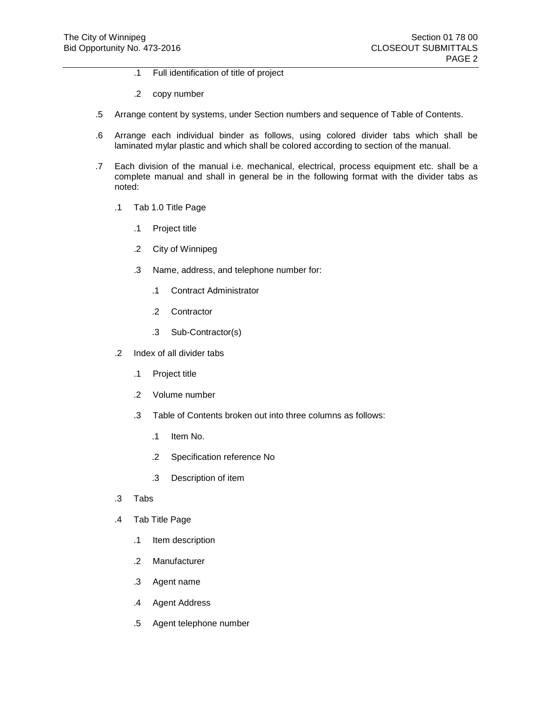- .1 Full identification of title of project
- .2 copy number
- .5 Arrange content by systems, under Section numbers and sequence of Table of Contents.
- .6 Arrange each individual binder as follows, using colored divider tabs which shall be laminated mylar plastic and which shall be colored according to section of the manual.
- .7 Each division of the manual i.e. mechanical, electrical, process equipment etc. shall be a complete manual and shall in general be in the following format with the divider tabs as noted:
	- .1 Tab 1.0 Title Page
		- .1 Project title
		- .2 City of Winnipeg
		- .3 Name, address, and telephone number for:
			- .1 Contract Administrator
			- .2 Contractor
			- .3 Sub-Contractor(s)
	- .2 Index of all divider tabs
		- .1 Project title
		- .2 Volume number
		- .3 Table of Contents broken out into three columns as follows:
			- .1 Item No.
			- .2 Specification reference No
			- .3 Description of item
	- .3 Tabs
	- .4 Tab Title Page
		- .1 Item description
		- .2 Manufacturer
		- .3 Agent name
		- .4 Agent Address
		- .5 Agent telephone number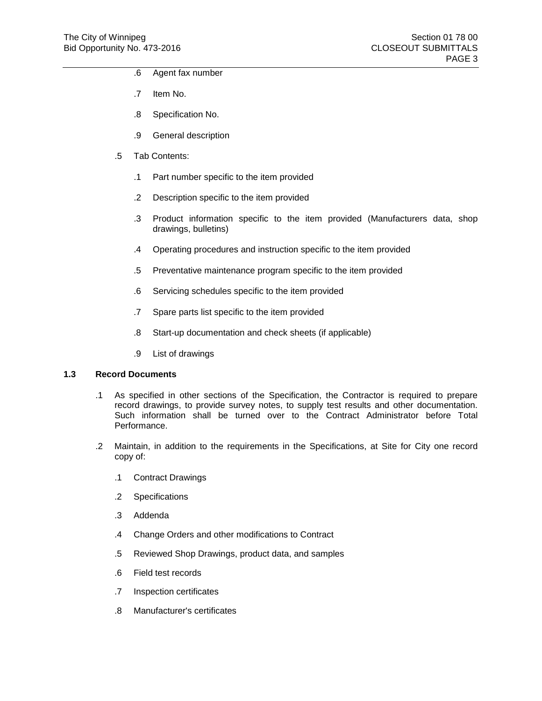- .6 Agent fax number
- .7 Item No.
- .8 Specification No.
- .9 General description
- .5 Tab Contents:
	- .1 Part number specific to the item provided
	- .2 Description specific to the item provided
	- .3 Product information specific to the item provided (Manufacturers data, shop drawings, bulletins)
	- .4 Operating procedures and instruction specific to the item provided
	- .5 Preventative maintenance program specific to the item provided
	- .6 Servicing schedules specific to the item provided
	- .7 Spare parts list specific to the item provided
	- .8 Start-up documentation and check sheets (if applicable)
	- .9 List of drawings

#### **1.3 Record Documents**

- .1 As specified in other sections of the Specification, the Contractor is required to prepare record drawings, to provide survey notes, to supply test results and other documentation. Such information shall be turned over to the Contract Administrator before Total Performance.
- .2 Maintain, in addition to the requirements in the Specifications, at Site for City one record copy of:
	- .1 Contract Drawings
	- .2 Specifications
	- .3 Addenda
	- .4 Change Orders and other modifications to Contract
	- .5 Reviewed Shop Drawings, product data, and samples
	- .6 Field test records
	- .7 Inspection certificates
	- .8 Manufacturer's certificates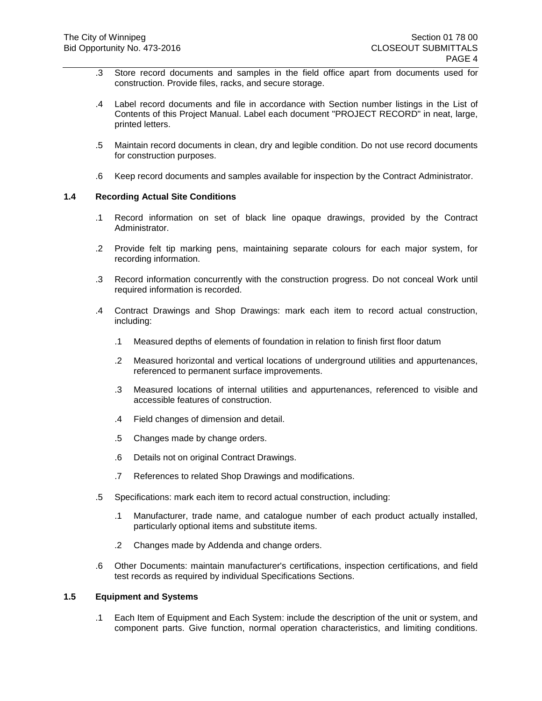- .3 Store record documents and samples in the field office apart from documents used for construction. Provide files, racks, and secure storage.
- .4 Label record documents and file in accordance with Section number listings in the List of Contents of this Project Manual. Label each document "PROJECT RECORD" in neat, large, printed letters.
- .5 Maintain record documents in clean, dry and legible condition. Do not use record documents for construction purposes.
- .6 Keep record documents and samples available for inspection by the Contract Administrator.

#### **1.4 Recording Actual Site Conditions**

- .1 Record information on set of black line opaque drawings, provided by the Contract Administrator.
- .2 Provide felt tip marking pens, maintaining separate colours for each major system, for recording information.
- .3 Record information concurrently with the construction progress. Do not conceal Work until required information is recorded.
- .4 Contract Drawings and Shop Drawings: mark each item to record actual construction, including:
	- .1 Measured depths of elements of foundation in relation to finish first floor datum
	- .2 Measured horizontal and vertical locations of underground utilities and appurtenances, referenced to permanent surface improvements.
	- .3 Measured locations of internal utilities and appurtenances, referenced to visible and accessible features of construction.
	- .4 Field changes of dimension and detail.
	- .5 Changes made by change orders.
	- .6 Details not on original Contract Drawings.
	- .7 References to related Shop Drawings and modifications.
- .5 Specifications: mark each item to record actual construction, including:
	- .1 Manufacturer, trade name, and catalogue number of each product actually installed, particularly optional items and substitute items.
	- .2 Changes made by Addenda and change orders.
- .6 Other Documents: maintain manufacturer's certifications, inspection certifications, and field test records as required by individual Specifications Sections.

#### **1.5 Equipment and Systems**

.1 Each Item of Equipment and Each System: include the description of the unit or system, and component parts. Give function, normal operation characteristics, and limiting conditions.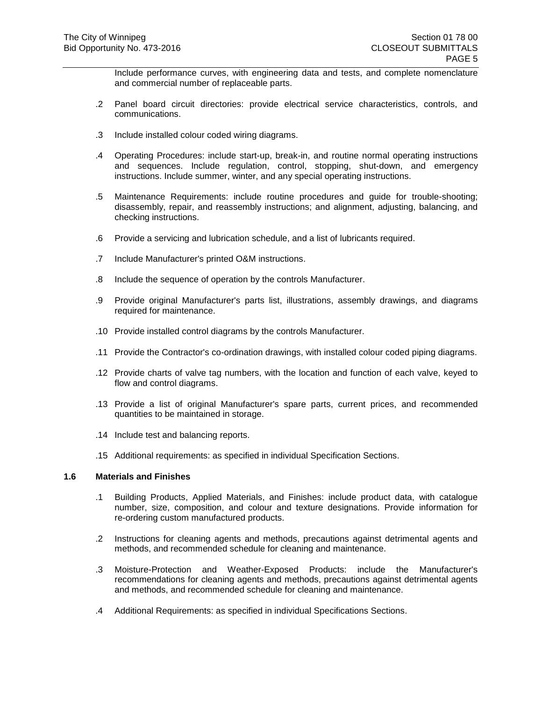Include performance curves, with engineering data and tests, and complete nomenclature and commercial number of replaceable parts.

- .2 Panel board circuit directories: provide electrical service characteristics, controls, and communications.
- .3 Include installed colour coded wiring diagrams.
- .4 Operating Procedures: include start-up, break-in, and routine normal operating instructions and sequences. Include regulation, control, stopping, shut-down, and emergency instructions. Include summer, winter, and any special operating instructions.
- .5 Maintenance Requirements: include routine procedures and guide for trouble-shooting; disassembly, repair, and reassembly instructions; and alignment, adjusting, balancing, and checking instructions.
- .6 Provide a servicing and lubrication schedule, and a list of lubricants required.
- .7 Include Manufacturer's printed O&M instructions.
- .8 Include the sequence of operation by the controls Manufacturer.
- .9 Provide original Manufacturer's parts list, illustrations, assembly drawings, and diagrams required for maintenance.
- .10 Provide installed control diagrams by the controls Manufacturer.
- .11 Provide the Contractor's co-ordination drawings, with installed colour coded piping diagrams.
- .12 Provide charts of valve tag numbers, with the location and function of each valve, keyed to flow and control diagrams.
- .13 Provide a list of original Manufacturer's spare parts, current prices, and recommended quantities to be maintained in storage.
- .14 Include test and balancing reports.
- .15 Additional requirements: as specified in individual Specification Sections.

#### **1.6 Materials and Finishes**

- .1 Building Products, Applied Materials, and Finishes: include product data, with catalogue number, size, composition, and colour and texture designations. Provide information for re-ordering custom manufactured products.
- .2 Instructions for cleaning agents and methods, precautions against detrimental agents and methods, and recommended schedule for cleaning and maintenance.
- .3 Moisture-Protection and Weather-Exposed Products: include the Manufacturer's recommendations for cleaning agents and methods, precautions against detrimental agents and methods, and recommended schedule for cleaning and maintenance.
- .4 Additional Requirements: as specified in individual Specifications Sections.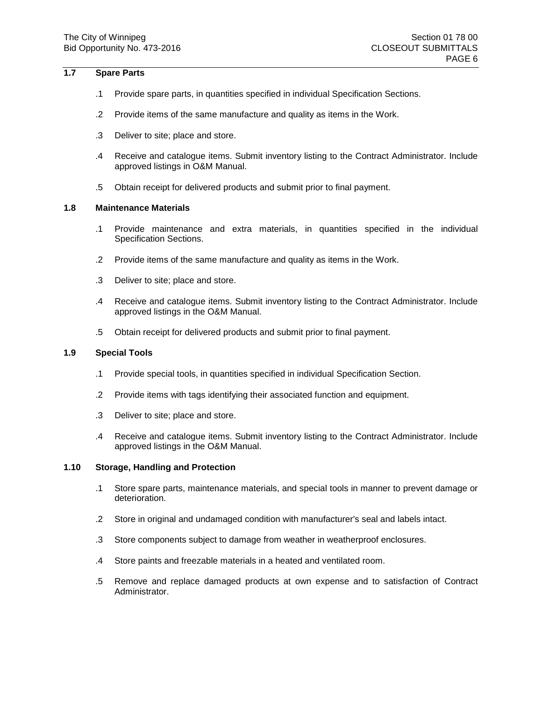#### **1.7 Spare Parts**

- .1 Provide spare parts, in quantities specified in individual Specification Sections.
- .2 Provide items of the same manufacture and quality as items in the Work.
- .3 Deliver to site; place and store.
- .4 Receive and catalogue items. Submit inventory listing to the Contract Administrator. Include approved listings in O&M Manual.
- .5 Obtain receipt for delivered products and submit prior to final payment.

#### **1.8 Maintenance Materials**

- .1 Provide maintenance and extra materials, in quantities specified in the individual Specification Sections.
- .2 Provide items of the same manufacture and quality as items in the Work.
- .3 Deliver to site; place and store.
- .4 Receive and catalogue items. Submit inventory listing to the Contract Administrator. Include approved listings in the O&M Manual.
- .5 Obtain receipt for delivered products and submit prior to final payment.

#### **1.9 Special Tools**

- .1 Provide special tools, in quantities specified in individual Specification Section.
- .2 Provide items with tags identifying their associated function and equipment.
- .3 Deliver to site; place and store.
- .4 Receive and catalogue items. Submit inventory listing to the Contract Administrator. Include approved listings in the O&M Manual.

## **1.10 Storage, Handling and Protection**

- .1 Store spare parts, maintenance materials, and special tools in manner to prevent damage or deterioration.
- .2 Store in original and undamaged condition with manufacturer's seal and labels intact.
- .3 Store components subject to damage from weather in weatherproof enclosures.
- .4 Store paints and freezable materials in a heated and ventilated room.
- .5 Remove and replace damaged products at own expense and to satisfaction of Contract Administrator.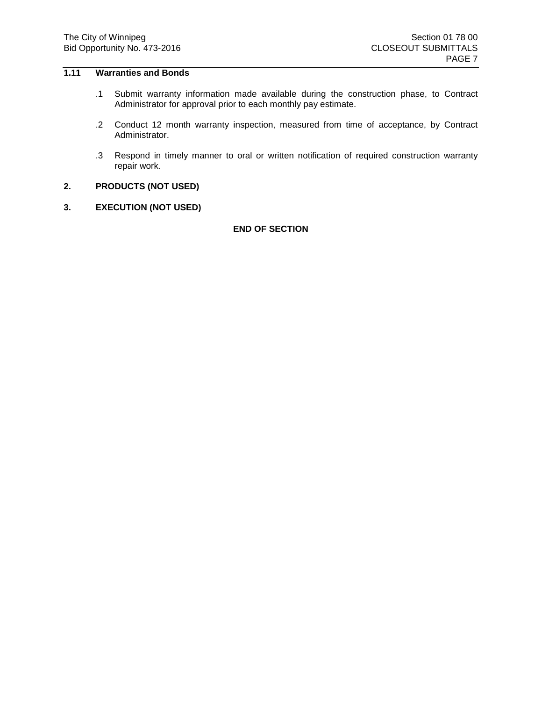## **1.11 Warranties and Bonds**

- .1 Submit warranty information made available during the construction phase, to Contract Administrator for approval prior to each monthly pay estimate.
- .2 Conduct 12 month warranty inspection, measured from time of acceptance, by Contract Administrator.
- .3 Respond in timely manner to oral or written notification of required construction warranty repair work.
- **2. PRODUCTS (NOT USED)**
- **3. EXECUTION (NOT USED)**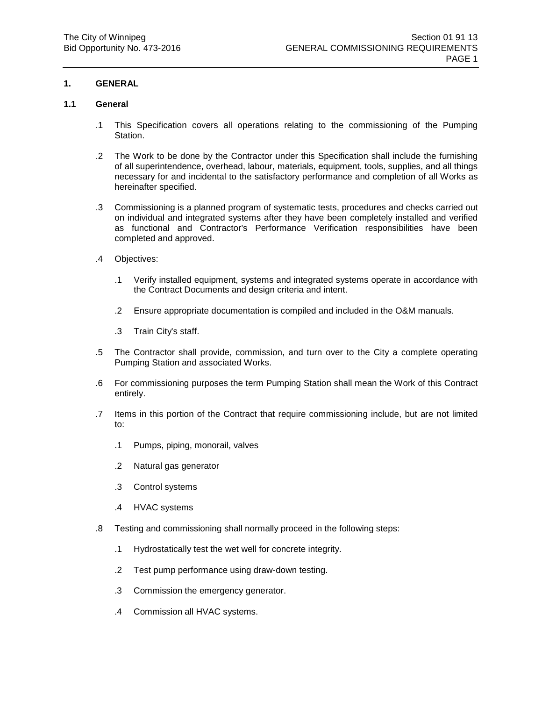## **1. GENERAL**

### **1.1 General**

- .1 This Specification covers all operations relating to the commissioning of the Pumping Station.
- .2 The Work to be done by the Contractor under this Specification shall include the furnishing of all superintendence, overhead, labour, materials, equipment, tools, supplies, and all things necessary for and incidental to the satisfactory performance and completion of all Works as hereinafter specified.
- .3 Commissioning is a planned program of systematic tests, procedures and checks carried out on individual and integrated systems after they have been completely installed and verified as functional and Contractor's Performance Verification responsibilities have been completed and approved.
- .4 Objectives:
	- .1 Verify installed equipment, systems and integrated systems operate in accordance with the Contract Documents and design criteria and intent.
	- .2 Ensure appropriate documentation is compiled and included in the O&M manuals.
	- .3 Train City's staff.
- .5 The Contractor shall provide, commission, and turn over to the City a complete operating Pumping Station and associated Works.
- .6 For commissioning purposes the term Pumping Station shall mean the Work of this Contract entirely.
- .7 Items in this portion of the Contract that require commissioning include, but are not limited to:
	- .1 Pumps, piping, monorail, valves
	- .2 Natural gas generator
	- .3 Control systems
	- .4 HVAC systems
- .8 Testing and commissioning shall normally proceed in the following steps:
	- .1 Hydrostatically test the wet well for concrete integrity.
	- .2 Test pump performance using draw-down testing.
	- .3 Commission the emergency generator.
	- .4 Commission all HVAC systems.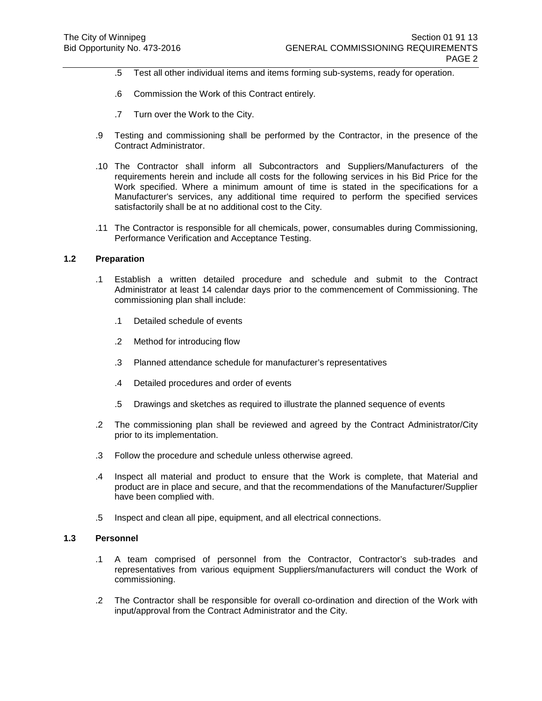- .5 Test all other individual items and items forming sub-systems, ready for operation.
- .6 Commission the Work of this Contract entirely.
- .7 Turn over the Work to the City.
- .9 Testing and commissioning shall be performed by the Contractor, in the presence of the Contract Administrator.
- .10 The Contractor shall inform all Subcontractors and Suppliers/Manufacturers of the requirements herein and include all costs for the following services in his Bid Price for the Work specified. Where a minimum amount of time is stated in the specifications for a Manufacturer's services, any additional time required to perform the specified services satisfactorily shall be at no additional cost to the City.
- .11 The Contractor is responsible for all chemicals, power, consumables during Commissioning, Performance Verification and Acceptance Testing.

#### **1.2 Preparation**

- .1 Establish a written detailed procedure and schedule and submit to the Contract Administrator at least 14 calendar days prior to the commencement of Commissioning. The commissioning plan shall include:
	- .1 Detailed schedule of events
	- .2 Method for introducing flow
	- .3 Planned attendance schedule for manufacturer's representatives
	- .4 Detailed procedures and order of events
	- .5 Drawings and sketches as required to illustrate the planned sequence of events
- .2 The commissioning plan shall be reviewed and agreed by the Contract Administrator/City prior to its implementation.
- .3 Follow the procedure and schedule unless otherwise agreed.
- .4 Inspect all material and product to ensure that the Work is complete, that Material and product are in place and secure, and that the recommendations of the Manufacturer/Supplier have been complied with.
- .5 Inspect and clean all pipe, equipment, and all electrical connections.

#### **1.3 Personnel**

- .1 A team comprised of personnel from the Contractor, Contractor's sub-trades and representatives from various equipment Suppliers/manufacturers will conduct the Work of commissioning.
- .2 The Contractor shall be responsible for overall co-ordination and direction of the Work with input/approval from the Contract Administrator and the City.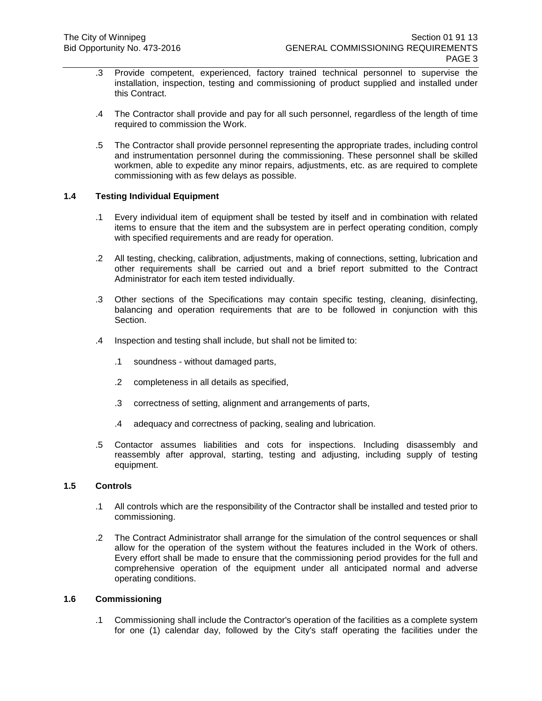- .3 Provide competent, experienced, factory trained technical personnel to supervise the installation, inspection, testing and commissioning of product supplied and installed under this Contract.
- .4 The Contractor shall provide and pay for all such personnel, regardless of the length of time required to commission the Work.
- .5 The Contractor shall provide personnel representing the appropriate trades, including control and instrumentation personnel during the commissioning. These personnel shall be skilled workmen, able to expedite any minor repairs, adjustments, etc. as are required to complete commissioning with as few delays as possible.

## **1.4 Testing Individual Equipment**

- .1 Every individual item of equipment shall be tested by itself and in combination with related items to ensure that the item and the subsystem are in perfect operating condition, comply with specified requirements and are ready for operation.
- .2 All testing, checking, calibration, adjustments, making of connections, setting, lubrication and other requirements shall be carried out and a brief report submitted to the Contract Administrator for each item tested individually.
- .3 Other sections of the Specifications may contain specific testing, cleaning, disinfecting, balancing and operation requirements that are to be followed in conjunction with this Section.
- .4 Inspection and testing shall include, but shall not be limited to:
	- .1 soundness without damaged parts,
	- .2 completeness in all details as specified,
	- .3 correctness of setting, alignment and arrangements of parts,
	- .4 adequacy and correctness of packing, sealing and lubrication.
- .5 Contactor assumes liabilities and cots for inspections. Including disassembly and reassembly after approval, starting, testing and adjusting, including supply of testing equipment.

## **1.5 Controls**

- .1 All controls which are the responsibility of the Contractor shall be installed and tested prior to commissioning.
- .2 The Contract Administrator shall arrange for the simulation of the control sequences or shall allow for the operation of the system without the features included in the Work of others. Every effort shall be made to ensure that the commissioning period provides for the full and comprehensive operation of the equipment under all anticipated normal and adverse operating conditions.

## **1.6 Commissioning**

.1 Commissioning shall include the Contractor's operation of the facilities as a complete system for one (1) calendar day, followed by the City's staff operating the facilities under the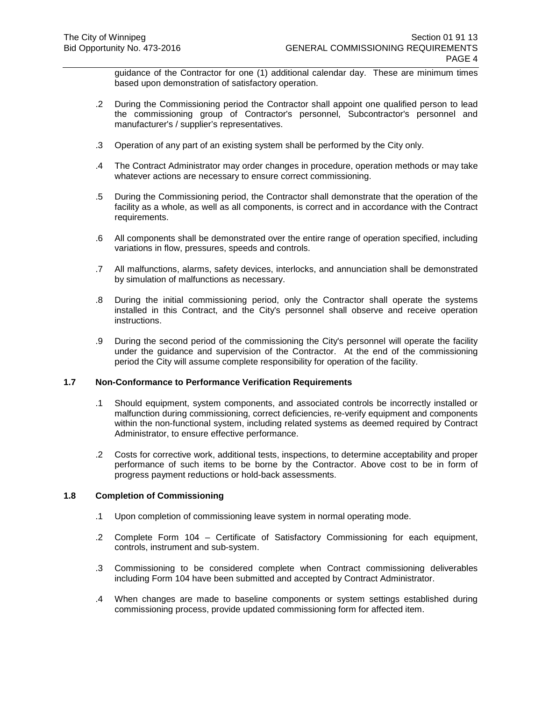guidance of the Contractor for one (1) additional calendar day. These are minimum times based upon demonstration of satisfactory operation.

- .2 During the Commissioning period the Contractor shall appoint one qualified person to lead the commissioning group of Contractor's personnel, Subcontractor's personnel and manufacturer's / supplier's representatives.
- .3 Operation of any part of an existing system shall be performed by the City only.
- .4 The Contract Administrator may order changes in procedure, operation methods or may take whatever actions are necessary to ensure correct commissioning.
- .5 During the Commissioning period, the Contractor shall demonstrate that the operation of the facility as a whole, as well as all components, is correct and in accordance with the Contract requirements.
- .6 All components shall be demonstrated over the entire range of operation specified, including variations in flow, pressures, speeds and controls.
- .7 All malfunctions, alarms, safety devices, interlocks, and annunciation shall be demonstrated by simulation of malfunctions as necessary.
- .8 During the initial commissioning period, only the Contractor shall operate the systems installed in this Contract, and the City's personnel shall observe and receive operation instructions.
- .9 During the second period of the commissioning the City's personnel will operate the facility under the guidance and supervision of the Contractor. At the end of the commissioning period the City will assume complete responsibility for operation of the facility.

#### **1.7 Non-Conformance to Performance Verification Requirements**

- .1 Should equipment, system components, and associated controls be incorrectly installed or malfunction during commissioning, correct deficiencies, re-verify equipment and components within the non-functional system, including related systems as deemed required by Contract Administrator, to ensure effective performance.
- .2 Costs for corrective work, additional tests, inspections, to determine acceptability and proper performance of such items to be borne by the Contractor. Above cost to be in form of progress payment reductions or hold-back assessments.

#### **1.8 Completion of Commissioning**

- .1 Upon completion of commissioning leave system in normal operating mode.
- .2 Complete Form 104 Certificate of Satisfactory Commissioning for each equipment, controls, instrument and sub-system.
- .3 Commissioning to be considered complete when Contract commissioning deliverables including Form 104 have been submitted and accepted by Contract Administrator.
- .4 When changes are made to baseline components or system settings established during commissioning process, provide updated commissioning form for affected item.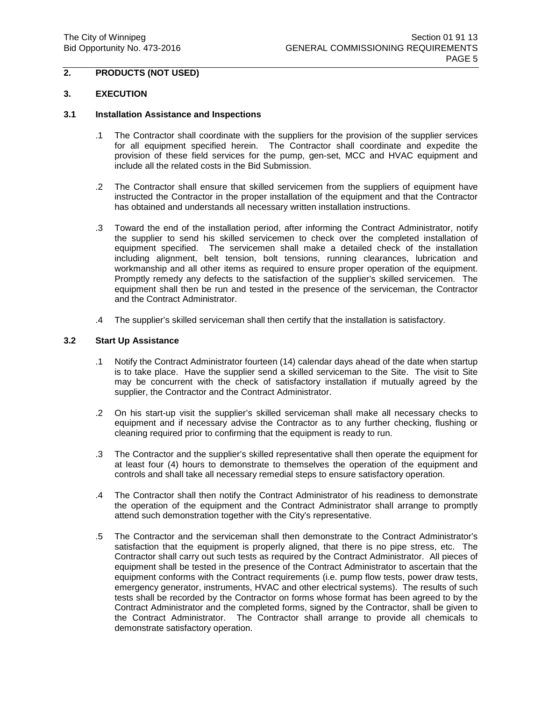#### **2. PRODUCTS (NOT USED)**

#### **3. EXECUTION**

#### **3.1 Installation Assistance and Inspections**

- .1 The Contractor shall coordinate with the suppliers for the provision of the supplier services for all equipment specified herein. The Contractor shall coordinate and expedite the provision of these field services for the pump, gen-set, MCC and HVAC equipment and include all the related costs in the Bid Submission.
- .2 The Contractor shall ensure that skilled servicemen from the suppliers of equipment have instructed the Contractor in the proper installation of the equipment and that the Contractor has obtained and understands all necessary written installation instructions.
- .3 Toward the end of the installation period, after informing the Contract Administrator, notify the supplier to send his skilled servicemen to check over the completed installation of equipment specified. The servicemen shall make a detailed check of the installation including alignment, belt tension, bolt tensions, running clearances, lubrication and workmanship and all other items as required to ensure proper operation of the equipment. Promptly remedy any defects to the satisfaction of the supplier's skilled servicemen. The equipment shall then be run and tested in the presence of the serviceman, the Contractor and the Contract Administrator.
- .4 The supplier's skilled serviceman shall then certify that the installation is satisfactory.

## **3.2 Start Up Assistance**

- .1 Notify the Contract Administrator fourteen (14) calendar days ahead of the date when startup is to take place. Have the supplier send a skilled serviceman to the Site. The visit to Site may be concurrent with the check of satisfactory installation if mutually agreed by the supplier, the Contractor and the Contract Administrator.
- .2 On his start-up visit the supplier's skilled serviceman shall make all necessary checks to equipment and if necessary advise the Contractor as to any further checking, flushing or cleaning required prior to confirming that the equipment is ready to run.
- .3 The Contractor and the supplier's skilled representative shall then operate the equipment for at least four (4) hours to demonstrate to themselves the operation of the equipment and controls and shall take all necessary remedial steps to ensure satisfactory operation.
- .4 The Contractor shall then notify the Contract Administrator of his readiness to demonstrate the operation of the equipment and the Contract Administrator shall arrange to promptly attend such demonstration together with the City's representative.
- .5 The Contractor and the serviceman shall then demonstrate to the Contract Administrator's satisfaction that the equipment is properly aligned, that there is no pipe stress, etc. The Contractor shall carry out such tests as required by the Contract Administrator. All pieces of equipment shall be tested in the presence of the Contract Administrator to ascertain that the equipment conforms with the Contract requirements (i.e. pump flow tests, power draw tests, emergency generator, instruments, HVAC and other electrical systems). The results of such tests shall be recorded by the Contractor on forms whose format has been agreed to by the Contract Administrator and the completed forms, signed by the Contractor, shall be given to the Contract Administrator. The Contractor shall arrange to provide all chemicals to demonstrate satisfactory operation.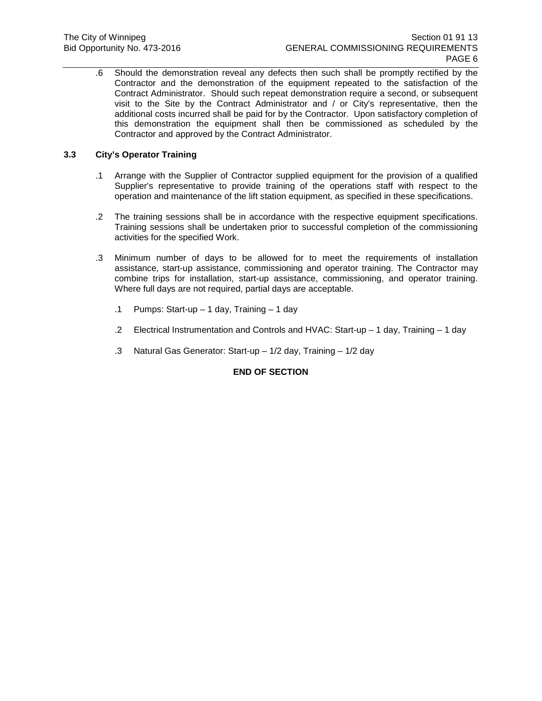.6 Should the demonstration reveal any defects then such shall be promptly rectified by the Contractor and the demonstration of the equipment repeated to the satisfaction of the Contract Administrator. Should such repeat demonstration require a second, or subsequent visit to the Site by the Contract Administrator and / or City's representative, then the additional costs incurred shall be paid for by the Contractor. Upon satisfactory completion of this demonstration the equipment shall then be commissioned as scheduled by the Contractor and approved by the Contract Administrator.

## **3.3 City's Operator Training**

- .1 Arrange with the Supplier of Contractor supplied equipment for the provision of a qualified Supplier's representative to provide training of the operations staff with respect to the operation and maintenance of the lift station equipment, as specified in these specifications.
- .2 The training sessions shall be in accordance with the respective equipment specifications. Training sessions shall be undertaken prior to successful completion of the commissioning activities for the specified Work.
- .3 Minimum number of days to be allowed for to meet the requirements of installation assistance, start-up assistance, commissioning and operator training. The Contractor may combine trips for installation, start-up assistance, commissioning, and operator training. Where full days are not required, partial days are acceptable.
	- .1 Pumps: Start-up 1 day, Training 1 day
	- .2 Electrical Instrumentation and Controls and HVAC: Start-up 1 day, Training 1 day
	- .3 Natural Gas Generator: Start-up 1/2 day, Training 1/2 day